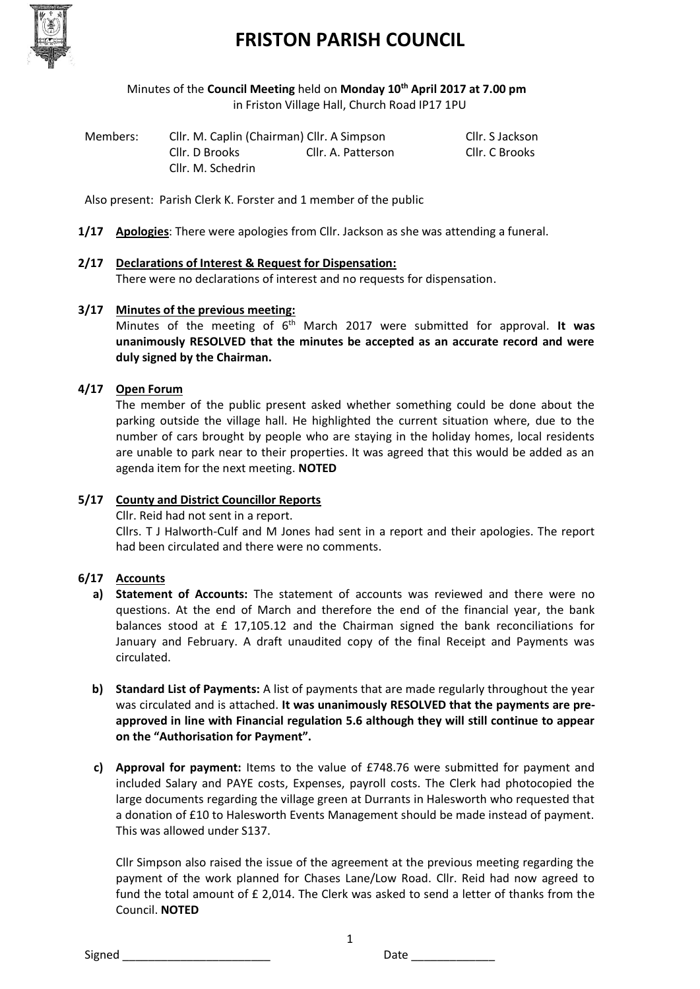

Minutes of the **Council Meeting** held on **Monday 10th April 2017 at 7.00 pm** in Friston Village Hall, Church Road IP17 1PU

| Members: | Cllr. M. Caplin (Chairman) Cllr. A Simpson |                    | Cllr. S Jackson |
|----------|--------------------------------------------|--------------------|-----------------|
|          | Cllr. D Brooks                             | Cllr. A. Patterson | Cllr. C Brooks  |
|          | Cllr. M. Schedrin                          |                    |                 |

Also present: Parish Clerk K. Forster and 1 member of the public

**1/17 Apologies**: There were apologies from Cllr. Jackson as she was attending a funeral.

#### **2/17 Declarations of Interest & Request for Dispensation:**

There were no declarations of interest and no requests for dispensation.

#### **3/17 Minutes of the previous meeting:**

Minutes of the meeting of 6<sup>th</sup> March 2017 were submitted for approval. It was **unanimously RESOLVED that the minutes be accepted as an accurate record and were duly signed by the Chairman.**

#### **4/17 Open Forum**

The member of the public present asked whether something could be done about the parking outside the village hall. He highlighted the current situation where, due to the number of cars brought by people who are staying in the holiday homes, local residents are unable to park near to their properties. It was agreed that this would be added as an agenda item for the next meeting. **NOTED**

#### **5/17 County and District Councillor Reports**

Cllr. Reid had not sent in a report.

Cllrs. T J Halworth-Culf and M Jones had sent in a report and their apologies. The report had been circulated and there were no comments.

#### **6/17 Accounts**

- **a) Statement of Accounts:** The statement of accounts was reviewed and there were no questions. At the end of March and therefore the end of the financial year, the bank balances stood at £ 17,105.12 and the Chairman signed the bank reconciliations for January and February. A draft unaudited copy of the final Receipt and Payments was circulated.
- **b) Standard List of Payments:** A list of payments that are made regularly throughout the year was circulated and is attached. **It was unanimously RESOLVED that the payments are preapproved in line with Financial regulation 5.6 although they will still continue to appear on the "Authorisation for Payment".**
- **c) Approval for payment:** Items to the value of £748.76 were submitted for payment and included Salary and PAYE costs, Expenses, payroll costs. The Clerk had photocopied the large documents regarding the village green at Durrants in Halesworth who requested that a donation of £10 to Halesworth Events Management should be made instead of payment. This was allowed under S137.

Cllr Simpson also raised the issue of the agreement at the previous meeting regarding the payment of the work planned for Chases Lane/Low Road. Cllr. Reid had now agreed to fund the total amount of £ 2,014. The Clerk was asked to send a letter of thanks from the Council. **NOTED**

1

Signed **Example 20** Signed **Date**  $\overline{a}$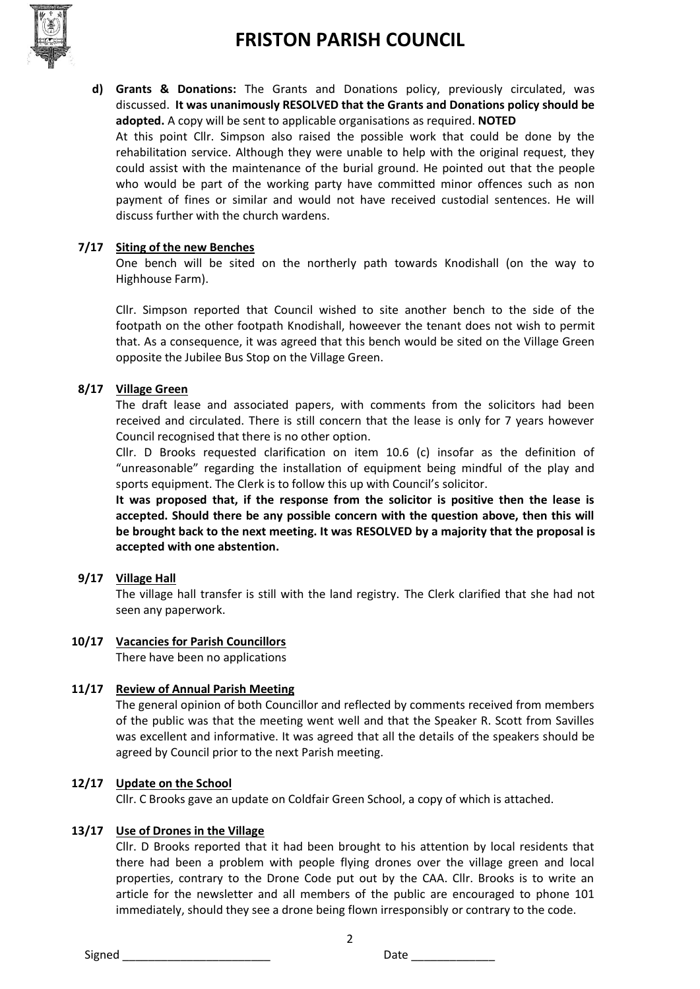

**d) Grants & Donations:** The Grants and Donations policy, previously circulated, was discussed. **It was unanimously RESOLVED that the Grants and Donations policy should be adopted.** A copy will be sent to applicable organisations as required. **NOTED** At this point Cllr. Simpson also raised the possible work that could be done by the rehabilitation service. Although they were unable to help with the original request, they could assist with the maintenance of the burial ground. He pointed out that the people who would be part of the working party have committed minor offences such as non payment of fines or similar and would not have received custodial sentences. He will discuss further with the church wardens.

#### **7/17 Siting of the new Benches**

One bench will be sited on the northerly path towards Knodishall (on the way to Highhouse Farm).

Cllr. Simpson reported that Council wished to site another bench to the side of the footpath on the other footpath Knodishall, howeever the tenant does not wish to permit that. As a consequence, it was agreed that this bench would be sited on the Village Green opposite the Jubilee Bus Stop on the Village Green.

#### **8/17 Village Green**

The draft lease and associated papers, with comments from the solicitors had been received and circulated. There is still concern that the lease is only for 7 years however Council recognised that there is no other option.

Cllr. D Brooks requested clarification on item 10.6 (c) insofar as the definition of "unreasonable" regarding the installation of equipment being mindful of the play and sports equipment. The Clerk is to follow this up with Council's solicitor.

**It was proposed that, if the response from the solicitor is positive then the lease is accepted. Should there be any possible concern with the question above, then this will be brought back to the next meeting. It was RESOLVED by a majority that the proposal is accepted with one abstention.**

#### **9/17 Village Hall**

The village hall transfer is still with the land registry. The Clerk clarified that she had not seen any paperwork.

#### **10/17 Vacancies for Parish Councillors**

There have been no applications

#### **11/17 Review of Annual Parish Meeting**

The general opinion of both Councillor and reflected by comments received from members of the public was that the meeting went well and that the Speaker R. Scott from Savilles was excellent and informative. It was agreed that all the details of the speakers should be agreed by Council prior to the next Parish meeting.

#### **12/17 Update on the School**

Cllr. C Brooks gave an update on Coldfair Green School, a copy of which is attached.

#### **13/17 Use of Drones in the Village**

Cllr. D Brooks reported that it had been brought to his attention by local residents that there had been a problem with people flying drones over the village green and local properties, contrary to the Drone Code put out by the CAA. Cllr. Brooks is to write an article for the newsletter and all members of the public are encouraged to phone 101 immediately, should they see a drone being flown irresponsibly or contrary to the code.

2

Signed \_\_\_\_\_\_\_\_\_\_\_\_\_\_\_\_\_\_\_\_\_\_\_ Date \_\_\_\_\_\_\_\_\_\_\_\_\_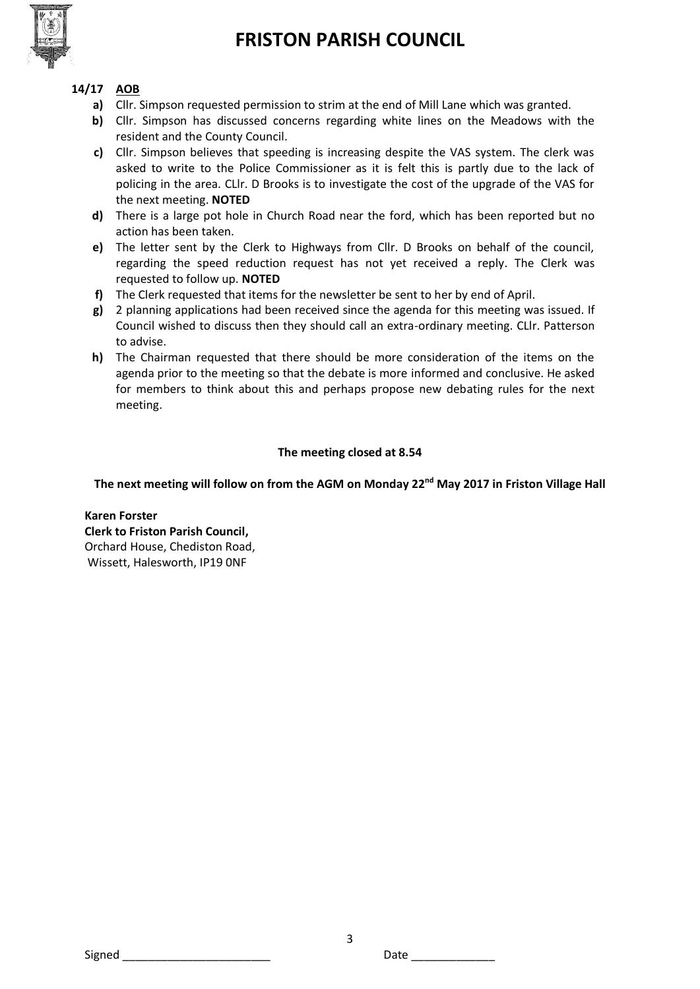

#### **14/17 AOB**

- **a)** Cllr. Simpson requested permission to strim at the end of Mill Lane which was granted.
- **b)** Cllr. Simpson has discussed concerns regarding white lines on the Meadows with the resident and the County Council.
- **c)** Cllr. Simpson believes that speeding is increasing despite the VAS system. The clerk was asked to write to the Police Commissioner as it is felt this is partly due to the lack of policing in the area. CLlr. D Brooks is to investigate the cost of the upgrade of the VAS for the next meeting. **NOTED**
- **d)** There is a large pot hole in Church Road near the ford, which has been reported but no action has been taken.
- **e)** The letter sent by the Clerk to Highways from Cllr. D Brooks on behalf of the council, regarding the speed reduction request has not yet received a reply. The Clerk was requested to follow up. **NOTED**
- **f)** The Clerk requested that items for the newsletter be sent to her by end of April.
- **g)** 2 planning applications had been received since the agenda for this meeting was issued. If Council wished to discuss then they should call an extra-ordinary meeting. CLlr. Patterson to advise.
- **h)** The Chairman requested that there should be more consideration of the items on the agenda prior to the meeting so that the debate is more informed and conclusive. He asked for members to think about this and perhaps propose new debating rules for the next meeting.

#### **The meeting closed at 8.54**

#### **The next meeting will follow on from the AGM on Monday 22nd May 2017 in Friston Village Hall**

**Karen Forster Clerk to Friston Parish Council,**  Orchard House, Chediston Road, Wissett, Halesworth, IP19 0NF

Signed \_\_\_\_\_\_\_\_\_\_\_\_\_\_\_\_\_\_\_\_\_\_\_ Date \_\_\_\_\_\_\_\_\_\_\_\_\_

3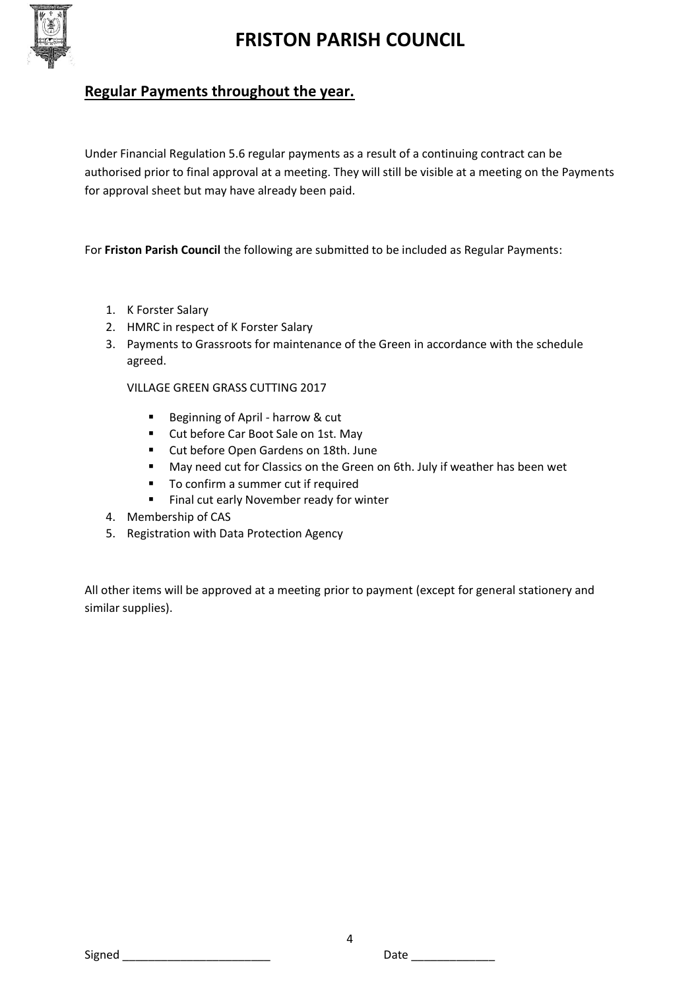

# **Regular Payments throughout the year.**

Under Financial Regulation 5.6 regular payments as a result of a continuing contract can be authorised prior to final approval at a meeting. They will still be visible at a meeting on the Payments for approval sheet but may have already been paid.

For **Friston Parish Council** the following are submitted to be included as Regular Payments:

- 1. K Forster Salary
- 2. HMRC in respect of K Forster Salary
- 3. Payments to Grassroots for maintenance of the Green in accordance with the schedule agreed.

VILLAGE GREEN GRASS CUTTING 2017

- Beginning of April harrow & cut
- Cut before Car Boot Sale on 1st. May
- **Cut before Open Gardens on 18th. June**
- May need cut for Classics on the Green on 6th. July if weather has been wet
- To confirm a summer cut if required
- Final cut early November ready for winter
- 4. Membership of CAS
- 5. Registration with Data Protection Agency

All other items will be approved at a meeting prior to payment (except for general stationery and similar supplies).

Signed \_\_\_\_\_\_\_\_\_\_\_\_\_\_\_\_\_\_\_\_\_\_\_ Date \_\_\_\_\_\_\_\_\_\_\_\_\_

4